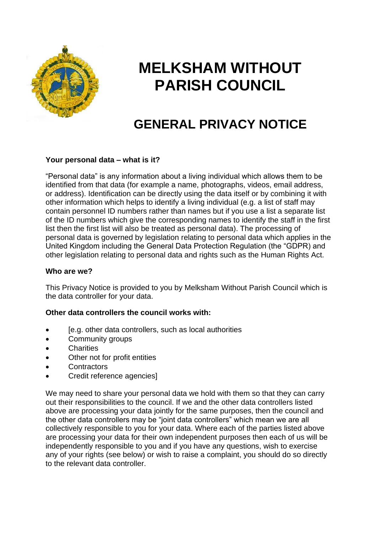

# **MELKSHAM WITHOUT PARISH COUNCIL**

# **GENERAL PRIVACY NOTICE**

#### **Your personal data – what is it?**

"Personal data" is any information about a living individual which allows them to be identified from that data (for example a name, photographs, videos, email address, or address). Identification can be directly using the data itself or by combining it with other information which helps to identify a living individual (e.g. a list of staff may contain personnel ID numbers rather than names but if you use a list a separate list of the ID numbers which give the corresponding names to identify the staff in the first list then the first list will also be treated as personal data). The processing of personal data is governed by legislation relating to personal data which applies in the United Kingdom including the General Data Protection Regulation (the "GDPR) and other legislation relating to personal data and rights such as the Human Rights Act.

#### **Who are we?**

This Privacy Notice is provided to you by Melksham Without Parish Council which is the data controller for your data.

#### **Other data controllers the council works with:**

- [e.g. other data controllers, such as local authorities
- Community groups
- **Charities**
- Other not for profit entities
- **Contractors**
- Credit reference agencies]

We may need to share your personal data we hold with them so that they can carry out their responsibilities to the council. If we and the other data controllers listed above are processing your data jointly for the same purposes, then the council and the other data controllers may be "joint data controllers" which mean we are all collectively responsible to you for your data. Where each of the parties listed above are processing your data for their own independent purposes then each of us will be independently responsible to you and if you have any questions, wish to exercise any of your rights (see below) or wish to raise a complaint, you should do so directly to the relevant data controller.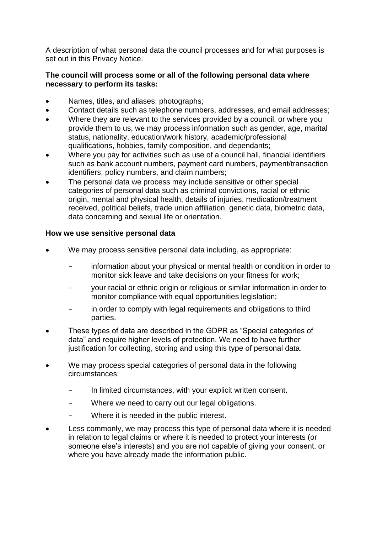A description of what personal data the council processes and for what purposes is set out in this Privacy Notice.

## **The council will process some or all of the following personal data where necessary to perform its tasks:**

- Names, titles, and aliases, photographs;
- Contact details such as telephone numbers, addresses, and email addresses;
- Where they are relevant to the services provided by a council, or where you provide them to us, we may process information such as gender, age, marital status, nationality, education/work history, academic/professional qualifications, hobbies, family composition, and dependants;
- Where you pay for activities such as use of a council hall, financial identifiers such as bank account numbers, payment card numbers, payment/transaction identifiers, policy numbers, and claim numbers;
- The personal data we process may include sensitive or other special categories of personal data such as criminal convictions, racial or ethnic origin, mental and physical health, details of injuries, medication/treatment received, political beliefs, trade union affiliation, genetic data, biometric data, data concerning and sexual life or orientation.

# **How we use sensitive personal data**

- We may process sensitive personal data including, as appropriate:
	- information about your physical or mental health or condition in order to monitor sick leave and take decisions on your fitness for work;
	- your racial or ethnic origin or religious or similar information in order to monitor compliance with equal opportunities legislation;
	- in order to comply with legal requirements and obligations to third parties.
- These types of data are described in the GDPR as "Special categories of data" and require higher levels of protection. We need to have further justification for collecting, storing and using this type of personal data.
- We may process special categories of personal data in the following circumstances:
	- In limited circumstances, with your explicit written consent.
	- Where we need to carry out our legal obligations.
	- Where it is needed in the public interest.
- Less commonly, we may process this type of personal data where it is needed in relation to legal claims or where it is needed to protect your interests (or someone else's interests) and you are not capable of giving your consent, or where you have already made the information public.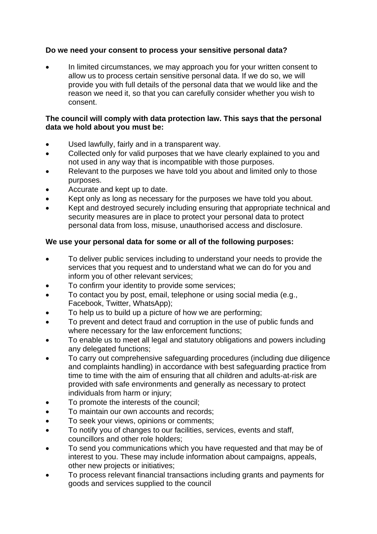# **Do we need your consent to process your sensitive personal data?**

In limited circumstances, we may approach you for your written consent to allow us to process certain sensitive personal data. If we do so, we will provide you with full details of the personal data that we would like and the reason we need it, so that you can carefully consider whether you wish to consent.

### **The council will comply with data protection law. This says that the personal data we hold about you must be:**

- Used lawfully, fairly and in a transparent way.
- Collected only for valid purposes that we have clearly explained to you and not used in any way that is incompatible with those purposes.
- Relevant to the purposes we have told you about and limited only to those purposes.
- Accurate and kept up to date.
- Kept only as long as necessary for the purposes we have told you about.
- Kept and destroyed securely including ensuring that appropriate technical and security measures are in place to protect your personal data to protect personal data from loss, misuse, unauthorised access and disclosure.

# **We use your personal data for some or all of the following purposes:**

- To deliver public services including to understand your needs to provide the services that you request and to understand what we can do for you and inform you of other relevant services;
- To confirm your identity to provide some services;
- To contact you by post, email, telephone or using social media (e.g., Facebook, Twitter, WhatsApp);
- To help us to build up a picture of how we are performing;
- To prevent and detect fraud and corruption in the use of public funds and where necessary for the law enforcement functions;
- To enable us to meet all legal and statutory obligations and powers including any delegated functions;
- To carry out comprehensive safeguarding procedures (including due diligence and complaints handling) in accordance with best safeguarding practice from time to time with the aim of ensuring that all children and adults-at-risk are provided with safe environments and generally as necessary to protect individuals from harm or injury;
- To promote the interests of the council;
- To maintain our own accounts and records;
- To seek your views, opinions or comments;
- To notify you of changes to our facilities, services, events and staff, councillors and other role holders;
- To send you communications which you have requested and that may be of interest to you. These may include information about campaigns, appeals, other new projects or initiatives;
- To process relevant financial transactions including grants and payments for goods and services supplied to the council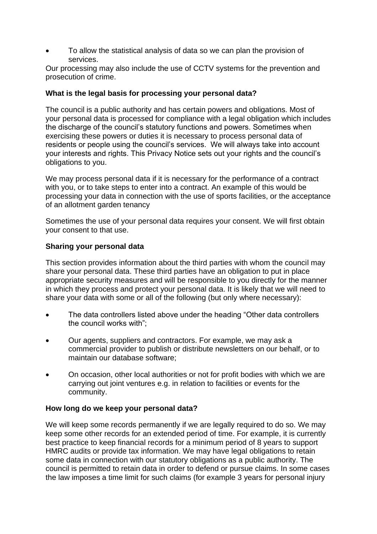• To allow the statistical analysis of data so we can plan the provision of services.

Our processing may also include the use of CCTV systems for the prevention and prosecution of crime.

### **What is the legal basis for processing your personal data?**

The council is a public authority and has certain powers and obligations. Most of your personal data is processed for compliance with a legal obligation which includes the discharge of the council's statutory functions and powers. Sometimes when exercising these powers or duties it is necessary to process personal data of residents or people using the council's services. We will always take into account your interests and rights. This Privacy Notice sets out your rights and the council's obligations to you.

We may process personal data if it is necessary for the performance of a contract with you, or to take steps to enter into a contract. An example of this would be processing your data in connection with the use of sports facilities, or the acceptance of an allotment garden tenancy

Sometimes the use of your personal data requires your consent. We will first obtain your consent to that use.

### **Sharing your personal data**

This section provides information about the third parties with whom the council may share your personal data. These third parties have an obligation to put in place appropriate security measures and will be responsible to you directly for the manner in which they process and protect your personal data. It is likely that we will need to share your data with some or all of the following (but only where necessary):

- The data controllers listed above under the heading "Other data controllers the council works with";
- Our agents, suppliers and contractors. For example, we may ask a commercial provider to publish or distribute newsletters on our behalf, or to maintain our database software;
- On occasion, other local authorities or not for profit bodies with which we are carrying out joint ventures e.g. in relation to facilities or events for the community.

# **How long do we keep your personal data?**

We will keep some records permanently if we are legally required to do so. We may keep some other records for an extended period of time. For example, it is currently best practice to keep financial records for a minimum period of 8 years to support HMRC audits or provide tax information. We may have legal obligations to retain some data in connection with our statutory obligations as a public authority. The council is permitted to retain data in order to defend or pursue claims. In some cases the law imposes a time limit for such claims (for example 3 years for personal injury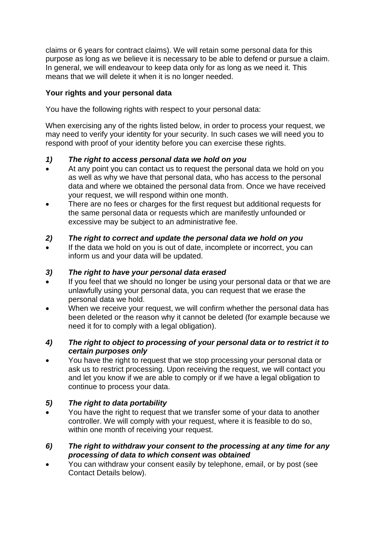claims or 6 years for contract claims). We will retain some personal data for this purpose as long as we believe it is necessary to be able to defend or pursue a claim. In general, we will endeavour to keep data only for as long as we need it. This means that we will delete it when it is no longer needed.

## **Your rights and your personal data**

You have the following rights with respect to your personal data:

When exercising any of the rights listed below, in order to process your request, we may need to verify your identity for your security. In such cases we will need you to respond with proof of your identity before you can exercise these rights.

### *1) The right to access personal data we hold on you*

- At any point you can contact us to request the personal data we hold on you as well as why we have that personal data, who has access to the personal data and where we obtained the personal data from. Once we have received your request, we will respond within one month.
- There are no fees or charges for the first request but additional requests for the same personal data or requests which are manifestly unfounded or excessive may be subject to an administrative fee.

### *2) The right to correct and update the personal data we hold on you*

If the data we hold on you is out of date, incomplete or incorrect, you can inform us and your data will be updated.

#### *3) The right to have your personal data erased*

- If you feel that we should no longer be using your personal data or that we are unlawfully using your personal data, you can request that we erase the personal data we hold.
- When we receive your request, we will confirm whether the personal data has been deleted or the reason why it cannot be deleted (for example because we need it for to comply with a legal obligation).

### *4) The right to object to processing of your personal data or to restrict it to certain purposes only*

• You have the right to request that we stop processing your personal data or ask us to restrict processing. Upon receiving the request, we will contact you and let you know if we are able to comply or if we have a legal obligation to continue to process your data.

# *5) The right to data portability*

- You have the right to request that we transfer some of your data to another controller. We will comply with your request, where it is feasible to do so, within one month of receiving your request.
- *6) The right to withdraw your consent to the processing at any time for any processing of data to which consent was obtained*
- You can withdraw your consent easily by telephone, email, or by post (see Contact Details below).